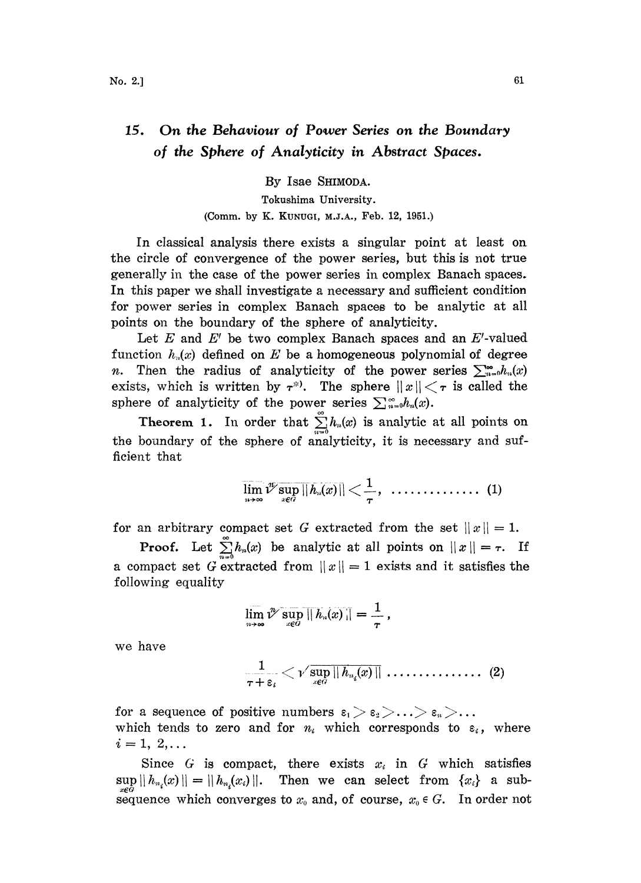## 15. On the Behaviour of Power Series on the Boundary of the Sphere of Analyticity in Abstract Spaces.

By Isae SHIMODA. Tokushima University. (Comm. by K. KUNUGI, M.J.A., Feb. 12, 1951.)

In classical analysis there exists a singular point at least on the circle of convergence of the power series, but this is not true generally in the case of the power series in complex Banach spaces. In this paper we shall investigate a necessary and sufficient condition for power series in complex Banach spaces to be analytic at all points on the boundary of the sphere of analyticity.

Let  $E$  and  $E'$  be two complex Banach spaces and an  $E'$ -valued function  $h_n(x)$  defined on E be a homogeneous polynomial of degree n. Then the radius of analyticity of the power series  $\sum_{n=0}^{\infty} h_n(x)$ exists, which is written by  $\tau^*$ . The sphere  $||x|| < \tau$  is called the sphere of analyticity of the power series  $\sum_{n=0}^{\infty} h_n(x)$ .

Theorem 1. In order that  $\sum_{n=0}^{\infty} h_n(x)$  is analytic at all points on the boundary of the sphere of analyticity, it is necessary and sufficient that

$$
\overline{\lim_{n\to\infty}}\sqrt[n]{\sup_{x\in G}||h_n(x)||}<\frac{1}{\tau},\quad\ldots\ldots\ldots\ldots\ldots\quad \quad (1)
$$

for an arbitrary compact set G extracted from the set  $||x|| = 1$ .

**Proof.** Let  $\sum_{n=0}^{\infty} h_n(x)$  be analytic at all points on  $||x|| = \tau$ . If a compact set G extracted from  $||x|| = 1$  exists and it satisfies the following equality

$$
\lim_{n\to\infty}\nu^\mathbb{V}\sup_{x\in G}||h_n(x)||=\frac{1}{\tau}\,,
$$

we have

$$
\frac{1}{\tau+\varepsilon_i}<\nu'\sup_{x\in G}\|h_{\scriptscriptstyle n_i}\!(x)\|\,\ldots\ldots\ldots\ldots\ldots\,\ldots\,\,(2)
$$

for a sequence of positive numbers  $\varepsilon_1 > \varepsilon_2 > ... > \varepsilon_n > ...$ which tends to zero and for  $n_i$  which corresponds to  $\varepsilon_i$ , where  $i=1, 2,...$ 

Since G is compact, there exists  $x_i$  in G which satisfies  $\sup_{x\in G} ||h_{n_i}(x)|| = ||h_{n_i}(x_i)||.$  Then we can select from  $\{x_i\}$  a subsequence which converges to  $x_0$  and, of course,  $x_0 \in G$ . In order not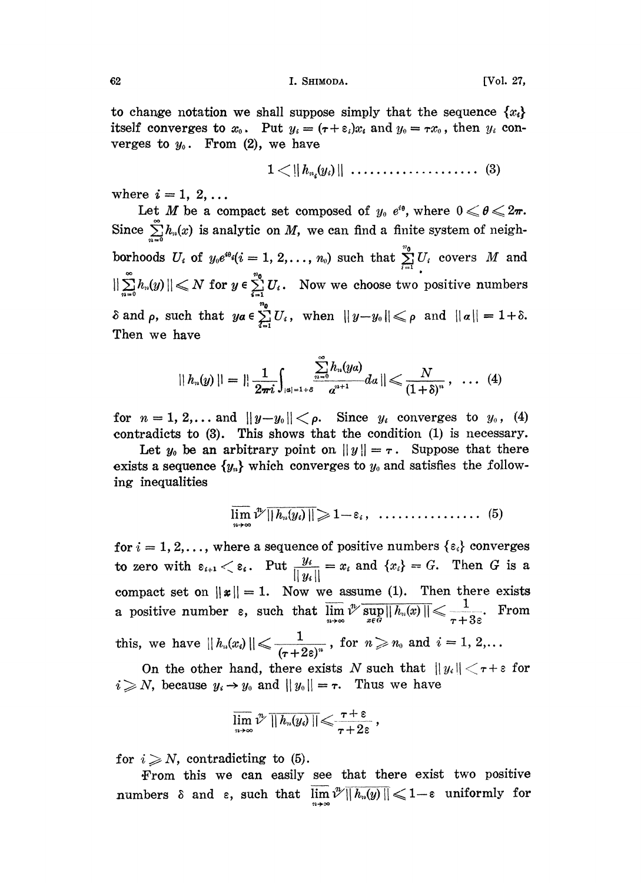62 **I. SHIMODA.** [Vol. 27,

to change notation we shall suppose simply that the sequence  $\{x_i\}$ itself converges to  $x_0$ . Put  $y_i = (\tau + \varepsilon_i)x_i$  and  $y_0 = \tau x_0$ , then  $y_i$  converges to  $y_0$ . From (2), we have

1 !i h,.(y)11 (3)

where  $i = 1, 2, \ldots$ 

Let M be a compact set composed of  $y_0$  e<sup>to</sup>, where  $0 \le \theta \le 2\pi$ . Since  $\sum_{n=0} h_n(x)$  is analytic on M, we can find a finite system of neighborhoods  $U_i$  of  $y_0e^{i\theta_i}(i = 1, 2, ..., n_0)$  such that  $\sum_{i=1}^{n_0} U_i$  covers M and  $\sum_{n=0}^{\infty} h_n(y) || \leq N$  for  $y \in \sum_{i=1}^{n_0} U_i$ . Now we choose two positive numbers  $\delta$  and  $\rho$ , such that  $ya \in \sum_{i=1}^{n_0} U_i$ , when  $||y-y_0|| \leqslant \rho$  and  $||\alpha|| = 1+\delta$ . Then we have

$$
|| h_n(y)|| = || \frac{1}{2\pi i} \int_{|\alpha|=1+\delta} \frac{\sum_{n=0}^{\infty} h_n(ya)}{a^{n+1}} da || \leqslant \frac{N}{(1+\delta)^n}, \quad \ldots \quad (4)
$$

for  $n = 1, 2,...$  and  $||y-y_0|| < \rho$ . Since  $y_i$  converges to  $y_0$ , (4) contradicts to (3). This shows that the condition (1) is necessary.

Let  $y_0$  be an arbitrary point on  $||y|| = \tau$ . Suppose that there exists a sequence  $\{y_n\}$  which converges to  $y_0$  and satisfies the following inequalities

$$
\overline{\lim_{n\to\infty}}\sqrt[n]{||h_n(y_i)||} \geqslant 1-\varepsilon_i\,,\quad \ldots\ldots\ldots\ldots\ldots\quad \quad (5)
$$

for  $i = 1, 2,...$ , where a sequence of positive numbers  $\{\epsilon_i\}$  converges to zero with  $\varepsilon_{i+1} < \varepsilon_i$ . Put  $\frac{y_i}{\|y_i\|} = x_i$  and  $\{x_i\} = G$ . Then G is a compact set on  $||\mathbf{x}|| = 1$ . Now we assume (1). Then there exists a positive number  $\varepsilon$ , such that  $\overline{\lim_{n \to \infty}} \sqrt[n]{\sup_{x \in G} ||h_n(x)||} \leq \frac{1}{\tau + 3\varepsilon}$ . From<br>this, we have  $||h_n(x_i)|| \leq \frac{1}{(\tau + 2\varepsilon)^n}$ , for  $n \geq n_0$  and  $i = 1, 2,...$ <br>On the other hand, there exists N such that  $||u_i|| < \tau + \varepsilon$ this, we have  $||h_n(x_i)|| \leqslant \frac{1}{(\tau + 2\varepsilon)^n}$ , for  $n \geqslant n_0$  and  $i = 1, 2, \ldots$ 

On the other hand, there exists N such that  $||y_i|| < \tau + \varepsilon$  for  $i \geq N$ , because  $y_i \rightarrow y_0$  and  $||y_0|| = \tau$ . Thus we have

$$
\varlimsup_{n\to\infty}\vartheta^n\, \rVert\, h_n(y_i)\,\rVert\!\leqslant\!\frac{\tau+\epsilon}{\tau+2\epsilon}\,,
$$

for  $i \geqslant N$ , contradicting to (5).

From this we can easily see that there exist two positive numbers  $\delta$  and  $\varepsilon$ , such that  $\overline{\lim_{n \to \infty}} \sqrt[n]{\|h_n(y)\|} \leq 1-\varepsilon$  uniformly for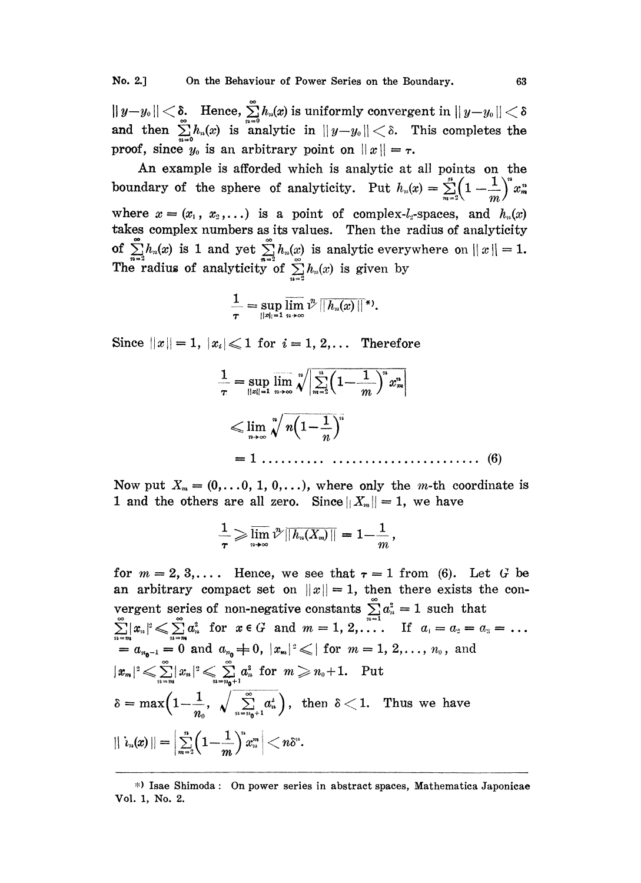$||y-y_0|| < \delta$ . Hence,  $\sum_{n=0}^{\infty} h_n(x)$  is uniformly convergent in  $||y-y_0|| < \delta$  and then  $\sum_{n=0}^{\infty} h_n(x)$  is analytic in  $||y-y_0|| < \delta$ . This completes the proof, since  $y_0$  is an arbitrary point on  $||x|| = \tau$ .

An example is afforded which is analytic at all points on the boundary of the sphere of analyticity. Put  $h_n(x) = \sum_{n=2}^{n} \left(1-\frac{1}{n^2}\right)^n x_n^m$ where  $x = (x_1, x_2,...)$  is a point of complex-*l*<sub>2</sub>-spaces, and  $h_n(x)$ takes complex numbers as its values. Then the radius of analyticity of  $\sum_{n=2}^{\infty} h_n(x)$  is 1 and yet  $\sum_{n=2}^{\infty} h_n(x)$  is analytic everywhere on  $||x|| = 1$ . The radius of analyticity of  $\sum h_n(x)$  is given by

$$
\frac{1}{\tau}=\sup_{||x||=1}\varlimsup_{n\to\infty}\vartheta^n\,||h_n(x)||^*.
$$

Since  $||x|| = 1$ ,  $|x_i| \leq 1$  for  $i = 1, 2,...$  Therefore

=1 (6)

Now put  $X_m = (0,\ldots, 0, 1, 0,\ldots)$ , where only the m-th coordinate is 1 and the others are all zero. Since  $||X_m|| = 1$ , we have

$$
\frac{1}{\tau}\!\geqslant\! \varlimsup_{n\!\to\!\infty} \!\varUpsilon\overline{\|h_n(X_m)\|}=1\!-\!\frac{1}{m}\;\! ,
$$

for  $m=2,3,...$  Hence, we see that  $\tau=1$  from (6). Let G be an arbitrary compact set on  $||x|| = 1$ , then there exists the convergent series of non-negative constants  $\sum_{n=1}^{\infty} a_n^2 = 1$  such that  $\sum_{n=1}^{\infty} |x_n|^2 \leqslant \sum_{n=m}^{\infty} a_n^2$  for  $x \in G$  and  $m=1, 2, \ldots$  If  $a_1 = a_2 = a_3 =$  $a_{n_{0}-1}=0$  and  $a_{n_{0}}\neq 0$ ,  $|x_{m}|^{2}\leqslant|$  for  $m=1,\,2,\ldots,\,n_{\scriptscriptstyle{0}}$ , and  $|x_m|^2 \leq \sum_{n=m}^{\infty} |x_n|^2 \leq \sum_{n=m+1}^{\infty} a_n^2$  for  $m \geq n_0+1$ . Put  $\delta=\max\Bigl(1-\frac{1}{n_o},\sqrt{\sum_{n=n_0+1}^{\infty} a_n^2}\Bigr),\,$  then  $\delta<1$ . Thus we have  $|||h_n(x)|| = \Bigl|\sum\limits_{m=2}^n \Bigl(1-\frac{1}{m}\Bigr)^nx_n^m\Bigr| < n\delta^n.$ 

<sup>\*)</sup> Isae Shimoda" On power series in abstract spaces, Mathematica Japonicae Vol. 1, No. 2.